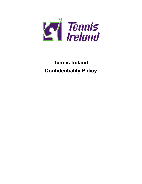

## **Tennis Ireland Confidentiality Policy**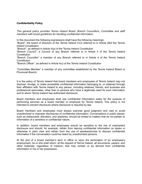## **Confidentiality Policy**

*This general policy provides Tennis Ireland Board, Branch Councillors, Committee and staff members with broad guidelines for handling confidential information.*

In this document the following expressions shall have the following meanings:

"Board", the board of directors of the Tennis Ireland CLG referred to in Article 26of the Tennis Ireland Constitution

"Branch", as defined in Article 4(a) of the Tennis Ireland Constitution

"Branch Council", a Council of any Branch referred to in Article 4 of the Tennis Ireland **Constitution** 

"Branch Councillor" a member of any Branch referred to in Article 4 of the Tennis Ireland **Constitution** 

"Branch Officer", as defined in Article 4(c) of the Tennis Ireland Constitution

"Committee Member" a member of any committee established by the Tennis Ireland Board or Provincial Branch.

It is the policy of Tennis Ireland that board members and employees of Tennis Ireland may not disclose, divulge, or make accessible confidential information belonging to, or obtained through their affiliation with Tennis Ireland to any person, including relatives, friends, and business and professional associates, other than to persons who have a legitimate need for such information and to whom Tennis Ireland has authorised disclosure.

Board members and employees shall use confidential information solely for the purpose of performing services as a board member or employee for Tennis Ireland. This policy is not intended to prevent disclosure where disclosure is required by law.

Board members and employees must always exercise good judgment and care to avoid unauthorised or improper disclosures of confidential information. Conversations in public places, such as restaurants, elevators, and airplanes, should be limited to matters that do not pertain to information of a sensitive or confidential nature.

In addition, board members and employees should be sensitive to the risk of inadvertent disclosure and should, for example, refrain from leaving confidential information on desks or otherwise in plain view and refrain from the use of speakerphones to discuss confidential information if the conversation could be heard by unauthorised persons.

At the end of a board member's term in office or upon the termination of an employee's employment, he or she shall return, at the request of Tennis Ireland, all documents, papers, and other materials, regardless of medium, that may contain or be derived from confidential information in his or her possession.